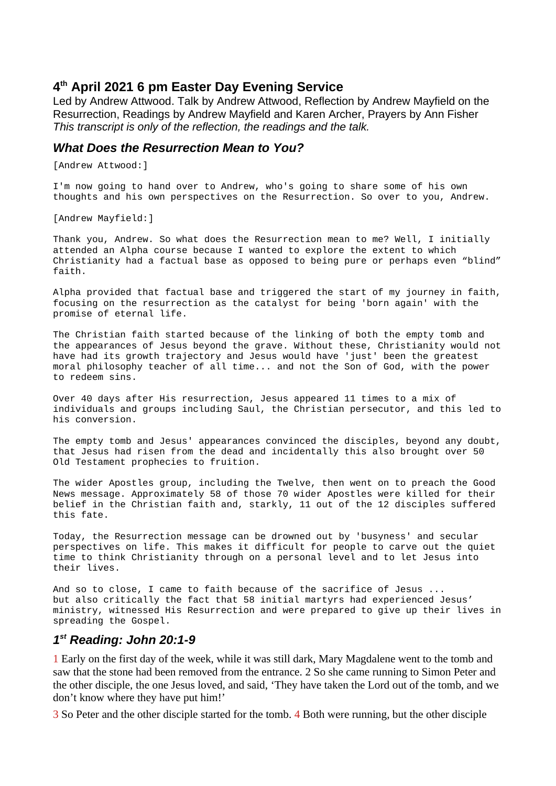# **4 th April 2021 6 pm Easter Day Evening Service**

Led by Andrew Attwood. Talk by Andrew Attwood, Reflection by Andrew Mayfield on the Resurrection, Readings by Andrew Mayfield and Karen Archer, Prayers by Ann Fisher *This transcript is only of the reflection, the readings and the talk.*

#### *What Does the Resurrection Mean to You?*

[Andrew Attwood:]

I'm now going to hand over to Andrew, who's going to share some of his own thoughts and his own perspectives on the Resurrection. So over to you, Andrew.

[Andrew Mayfield:]

Thank you, Andrew. So what does the Resurrection mean to me? Well, I initially attended an Alpha course because I wanted to explore the extent to which Christianity had a factual base as opposed to being pure or perhaps even "blind" faith.

Alpha provided that factual base and triggered the start of my journey in faith, focusing on the resurrection as the catalyst for being 'born again' with the promise of eternal life.

The Christian faith started because of the linking of both the empty tomb and the appearances of Jesus beyond the grave. Without these, Christianity would not have had its growth trajectory and Jesus would have 'just' been the greatest moral philosophy teacher of all time... and not the Son of God, with the power to redeem sins.

Over 40 days after His resurrection, Jesus appeared 11 times to a mix of individuals and groups including Saul, the Christian persecutor, and this led to his conversion.

The empty tomb and Jesus' appearances convinced the disciples, beyond any doubt, that Jesus had risen from the dead and incidentally this also brought over 50 Old Testament prophecies to fruition.

The wider Apostles group, including the Twelve, then went on to preach the Good News message. Approximately 58 of those 70 wider Apostles were killed for their belief in the Christian faith and, starkly, 11 out of the 12 disciples suffered this fate.

Today, the Resurrection message can be drowned out by 'busyness' and secular perspectives on life. This makes it difficult for people to carve out the quiet time to think Christianity through on a personal level and to let Jesus into their lives.

And so to close, I came to faith because of the sacrifice of Jesus ... but also critically the fact that 58 initial martyrs had experienced Jesus' ministry, witnessed His Resurrection and were prepared to give up their lives in spreading the Gospel.

#### *1 st Reading: John 20:1-9*

1 Early on the first day of the week, while it was still dark, Mary Magdalene went to the tomb and saw that the stone had been removed from the entrance. 2 So she came running to Simon Peter and the other disciple, the one Jesus loved, and said, 'They have taken the Lord out of the tomb, and we don't know where they have put him!'

3 So Peter and the other disciple started for the tomb. 4 Both were running, but the other disciple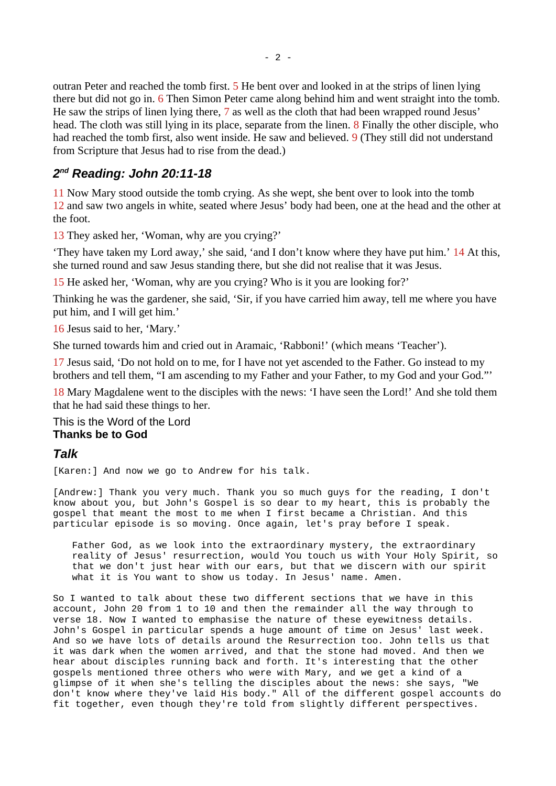outran Peter and reached the tomb first. 5 He bent over and looked in at the strips of linen lying there but did not go in. 6 Then Simon Peter came along behind him and went straight into the tomb. He saw the strips of linen lying there, 7 as well as the cloth that had been wrapped round Jesus' head. The cloth was still lying in its place, separate from the linen. 8 Finally the other disciple, who had reached the tomb first, also went inside. He saw and believed. 9 (They still did not understand from Scripture that Jesus had to rise from the dead.)

# *2 nd Reading: John 20:11-18*

11 Now Mary stood outside the tomb crying. As she wept, she bent over to look into the tomb 12 and saw two angels in white, seated where Jesus' body had been, one at the head and the other at the foot.

13 They asked her, 'Woman, why are you crying?'

'They have taken my Lord away,' she said, 'and I don't know where they have put him.' 14 At this, she turned round and saw Jesus standing there, but she did not realise that it was Jesus.

15 He asked her, 'Woman, why are you crying? Who is it you are looking for?'

Thinking he was the gardener, she said, 'Sir, if you have carried him away, tell me where you have put him, and I will get him.'

16 Jesus said to her, 'Mary.'

She turned towards him and cried out in Aramaic, 'Rabboni!' (which means 'Teacher').

17 Jesus said, 'Do not hold on to me, for I have not yet ascended to the Father. Go instead to my brothers and tell them, "I am ascending to my Father and your Father, to my God and your God."'

18 Mary Magdalene went to the disciples with the news: 'I have seen the Lord!' And she told them that he had said these things to her.

This is the Word of the Lord **Thanks be to God**

# *Talk*

[Karen:] And now we go to Andrew for his talk.

[Andrew:] Thank you very much. Thank you so much guys for the reading, I don't know about you, but John's Gospel is so dear to my heart, this is probably the gospel that meant the most to me when I first became a Christian. And this particular episode is so moving. Once again, let's pray before I speak.

Father God, as we look into the extraordinary mystery, the extraordinary reality of Jesus' resurrection, would You touch us with Your Holy Spirit, so that we don't just hear with our ears, but that we discern with our spirit what it is You want to show us today. In Jesus' name. Amen.

So I wanted to talk about these two different sections that we have in this account, John 20 from 1 to 10 and then the remainder all the way through to verse 18. Now I wanted to emphasise the nature of these eyewitness details. John's Gospel in particular spends a huge amount of time on Jesus' last week. And so we have lots of details around the Resurrection too. John tells us that it was dark when the women arrived, and that the stone had moved. And then we hear about disciples running back and forth. It's interesting that the other gospels mentioned three others who were with Mary, and we get a kind of a glimpse of it when she's telling the disciples about the news: she says, "We don't know where they've laid His body." All of the different gospel accounts do fit together, even though they're told from slightly different perspectives.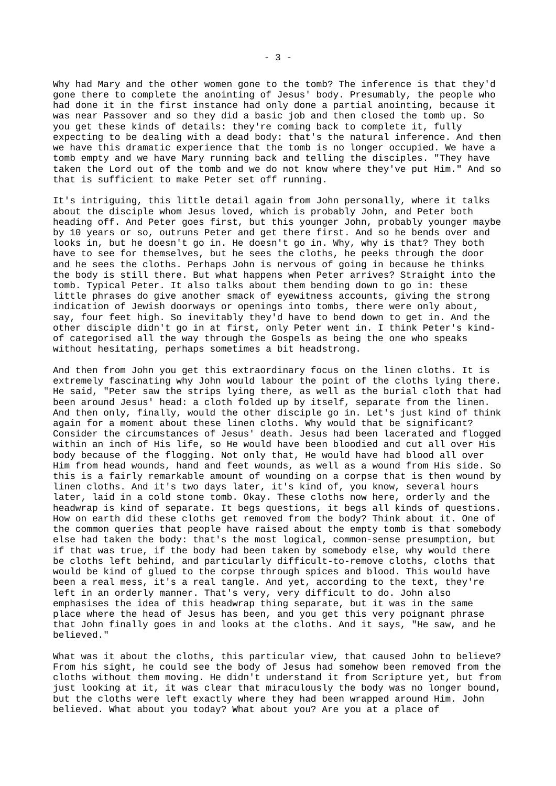Why had Mary and the other women gone to the tomb? The inference is that they'd gone there to complete the anointing of Jesus' body. Presumably, the people who had done it in the first instance had only done a partial anointing, because it was near Passover and so they did a basic job and then closed the tomb up. So you get these kinds of details: they're coming back to complete it, fully expecting to be dealing with a dead body: that's the natural inference. And then we have this dramatic experience that the tomb is no longer occupied. We have a tomb empty and we have Mary running back and telling the disciples. "They have taken the Lord out of the tomb and we do not know where they've put Him." And so that is sufficient to make Peter set off running.

It's intriguing, this little detail again from John personally, where it talks about the disciple whom Jesus loved, which is probably John, and Peter both heading off. And Peter goes first, but this younger John, probably younger maybe by 10 years or so, outruns Peter and get there first. And so he bends over and looks in, but he doesn't go in. He doesn't go in. Why, why is that? They both have to see for themselves, but he sees the cloths, he peeks through the door and he sees the cloths. Perhaps John is nervous of going in because he thinks the body is still there. But what happens when Peter arrives? Straight into the tomb. Typical Peter. It also talks about them bending down to go in: these little phrases do give another smack of eyewitness accounts, giving the strong indication of Jewish doorways or openings into tombs, there were only about, say, four feet high. So inevitably they'd have to bend down to get in. And the other disciple didn't go in at first, only Peter went in. I think Peter's kindof categorised all the way through the Gospels as being the one who speaks without hesitating, perhaps sometimes a bit headstrong.

And then from John you get this extraordinary focus on the linen cloths. It is extremely fascinating why John would labour the point of the cloths lying there. He said, "Peter saw the strips lying there, as well as the burial cloth that had been around Jesus' head: a cloth folded up by itself, separate from the linen. And then only, finally, would the other disciple go in. Let's just kind of think again for a moment about these linen cloths. Why would that be significant? Consider the circumstances of Jesus' death. Jesus had been lacerated and flogged within an inch of His life, so He would have been bloodied and cut all over His body because of the flogging. Not only that, He would have had blood all over Him from head wounds, hand and feet wounds, as well as a wound from His side. So this is a fairly remarkable amount of wounding on a corpse that is then wound by linen cloths. And it's two days later, it's kind of, you know, several hours later, laid in a cold stone tomb. Okay. These cloths now here, orderly and the headwrap is kind of separate. It begs questions, it begs all kinds of questions. How on earth did these cloths get removed from the body? Think about it. One of the common queries that people have raised about the empty tomb is that somebody else had taken the body: that's the most logical, common-sense presumption, but if that was true, if the body had been taken by somebody else, why would there be cloths left behind, and particularly difficult-to-remove cloths, cloths that would be kind of glued to the corpse through spices and blood. This would have been a real mess, it's a real tangle. And yet, according to the text, they're left in an orderly manner. That's very, very difficult to do. John also emphasises the idea of this headwrap thing separate, but it was in the same place where the head of Jesus has been, and you get this very poignant phrase that John finally goes in and looks at the cloths. And it says, "He saw, and he believed."

What was it about the cloths, this particular view, that caused John to believe? From his sight, he could see the body of Jesus had somehow been removed from the cloths without them moving. He didn't understand it from Scripture yet, but from just looking at it, it was clear that miraculously the body was no longer bound, but the cloths were left exactly where they had been wrapped around Him. John believed. What about you today? What about you? Are you at a place of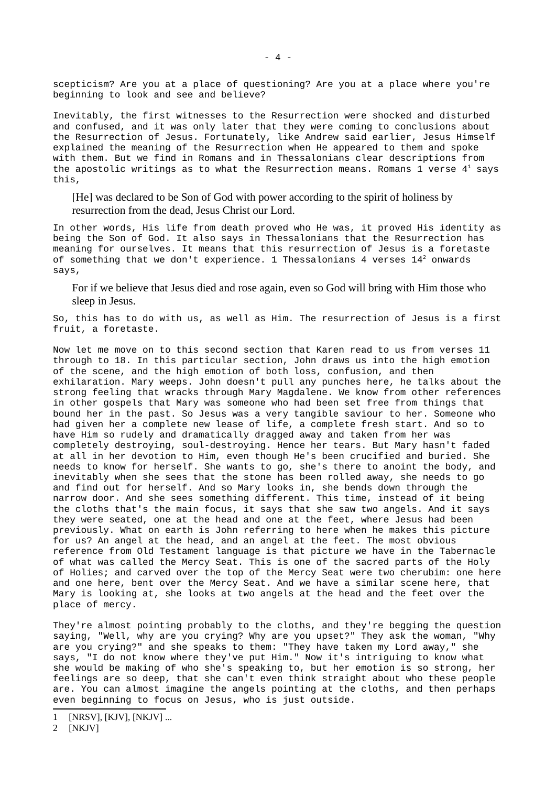scepticism? Are you at a place of questioning? Are you at a place where you're beginning to look and see and believe?

Inevitably, the first witnesses to the Resurrection were shocked and disturbed and confused, and it was only later that they were coming to conclusions about the Resurrection of Jesus. Fortunately, like Andrew said earlier, Jesus Himself explained the meaning of the Resurrection when He appeared to them and spoke with them. But we find in Romans and in Thessalonians clear descriptions from the apostolic writings as to what the Resurrection means. Romans [1](#page-3-0) verse  $4<sup>1</sup>$  says this,

[He] was declared to be Son of God with power according to the spirit of holiness by resurrection from the dead, Jesus Christ our Lord.

In other words, His life from death proved who He was, it proved His identity as being the Son of God. It also says in Thessalonians that the Resurrection has meaning for ourselves. It means that this resurrection of Jesus is a foretaste of something that we don't experience. 1 Thessalonians 4 verses 14<sup>[2](#page-3-1)</sup> onwards says,

For if we believe that Jesus died and rose again, even so God will bring with Him those who sleep in Jesus.

So, this has to do with us, as well as Him. The resurrection of Jesus is a first fruit, a foretaste.

Now let me move on to this second section that Karen read to us from verses 11 through to 18. In this particular section, John draws us into the high emotion of the scene, and the high emotion of both loss, confusion, and then exhilaration. Mary weeps. John doesn't pull any punches here, he talks about the strong feeling that wracks through Mary Magdalene. We know from other references in other gospels that Mary was someone who had been set free from things that bound her in the past. So Jesus was a very tangible saviour to her. Someone who had given her a complete new lease of life, a complete fresh start. And so to have Him so rudely and dramatically dragged away and taken from her was completely destroying, soul-destroying. Hence her tears. But Mary hasn't faded at all in her devotion to Him, even though He's been crucified and buried. She needs to know for herself. She wants to go, she's there to anoint the body, and inevitably when she sees that the stone has been rolled away, she needs to go and find out for herself. And so Mary looks in, she bends down through the narrow door. And she sees something different. This time, instead of it being the cloths that's the main focus, it says that she saw two angels. And it says they were seated, one at the head and one at the feet, where Jesus had been previously. What on earth is John referring to here when he makes this picture for us? An angel at the head, and an angel at the feet. The most obvious reference from Old Testament language is that picture we have in the Tabernacle of what was called the Mercy Seat. This is one of the sacred parts of the Holy of Holies; and carved over the top of the Mercy Seat were two cherubim: one here and one here, bent over the Mercy Seat. And we have a similar scene here, that Mary is looking at, she looks at two angels at the head and the feet over the place of mercy.

They're almost pointing probably to the cloths, and they're begging the question saying, "Well, why are you crying? Why are you upset?" They ask the woman, "Why are you crying?" and she speaks to them: "They have taken my Lord away," she says, "I do not know where they've put Him." Now it's intriguing to know what she would be making of who she's speaking to, but her emotion is so strong, her feelings are so deep, that she can't even think straight about who these people are. You can almost imagine the angels pointing at the cloths, and then perhaps even beginning to focus on Jesus, who is just outside.

<span id="page-3-0"></span><sup>1</sup> [NRSV], [KJV], [NKJV] ...

<span id="page-3-1"></span><sup>2</sup> [NKJV]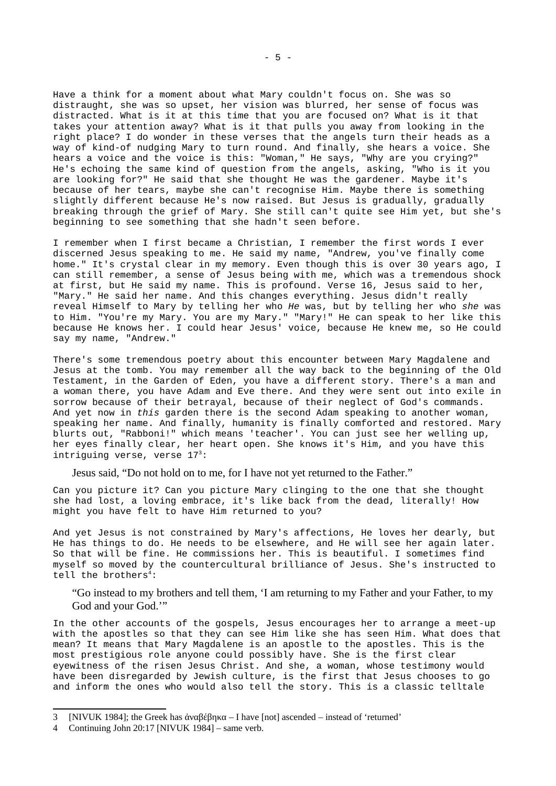Have a think for a moment about what Mary couldn't focus on. She was so distraught, she was so upset, her vision was blurred, her sense of focus was distracted. What is it at this time that you are focused on? What is it that takes your attention away? What is it that pulls you away from looking in the right place? I do wonder in these verses that the angels turn their heads as a way of kind-of nudging Mary to turn round. And finally, she hears a voice. She hears a voice and the voice is this: "Woman," He says, "Why are you crying?" He's echoing the same kind of question from the angels, asking, "Who is it you are looking for?" He said that she thought He was the gardener. Maybe it's because of her tears, maybe she can't recognise Him. Maybe there is something slightly different because He's now raised. But Jesus is gradually, gradually breaking through the grief of Mary. She still can't quite see Him yet, but she's beginning to see something that she hadn't seen before.

I remember when I first became a Christian, I remember the first words I ever discerned Jesus speaking to me. He said my name, "Andrew, you've finally come home." It's crystal clear in my memory. Even though this is over 30 years ago, I can still remember, a sense of Jesus being with me, which was a tremendous shock at first, but He said my name. This is profound. Verse 16, Jesus said to her, "Mary." He said her name. And this changes everything. Jesus didn't really reveal Himself to Mary by telling her who *He* was, but by telling her who *she* was to Him. "You're my Mary. You are my Mary." "Mary!" He can speak to her like this because He knows her. I could hear Jesus' voice, because He knew me, so He could say my name, "Andrew."

There's some tremendous poetry about this encounter between Mary Magdalene and Jesus at the tomb. You may remember all the way back to the beginning of the Old Testament, in the Garden of Eden, you have a different story. There's a man and a woman there, you have Adam and Eve there. And they were sent out into exile in sorrow because of their betrayal, because of their neglect of God's commands. And yet now in *this* garden there is the second Adam speaking to another woman, speaking her name. And finally, humanity is finally comforted and restored. Mary blurts out, "Rabboni!" which means 'teacher'. You can just see her welling up, her eyes finally clear, her heart open. She knows it's Him, and you have this intriguing verse, verse 17<sup>[3](#page-4-0)</sup>:

Jesus said, "Do not hold on to me, for I have not yet returned to the Father."

Can you picture it? Can you picture Mary clinging to the one that she thought she had lost, a loving embrace, it's like back from the dead, literally! How might you have felt to have Him returned to you?

And yet Jesus is not constrained by Mary's affections, He loves her dearly, but He has things to do. He needs to be elsewhere, and He will see her again later. So that will be fine. He commissions her. This is beautiful. I sometimes find myself so moved by the countercultural brilliance of Jesus. She's instructed to tell the brothers<sup>[4](#page-4-1)</sup>:

"Go instead to my brothers and tell them, 'I am returning to my Father and your Father, to my God and your God.'"

In the other accounts of the gospels, Jesus encourages her to arrange a meet-up with the apostles so that they can see Him like she has seen Him. What does that mean? It means that Mary Magdalene is an apostle to the apostles. This is the most prestigious role anyone could possibly have. She is the first clear eyewitness of the risen Jesus Christ. And she, a woman, whose testimony would have been disregarded by Jewish culture, is the first that Jesus chooses to go and inform the ones who would also tell the story. This is a classic telltale

<span id="page-4-0"></span><sup>3</sup> [NIVUK 1984]; the Greek has ἀναβέβηκα – I have [not] ascended – instead of 'returned'

<span id="page-4-1"></span><sup>4</sup> Continuing John 20:17 [NIVUK 1984] – same verb.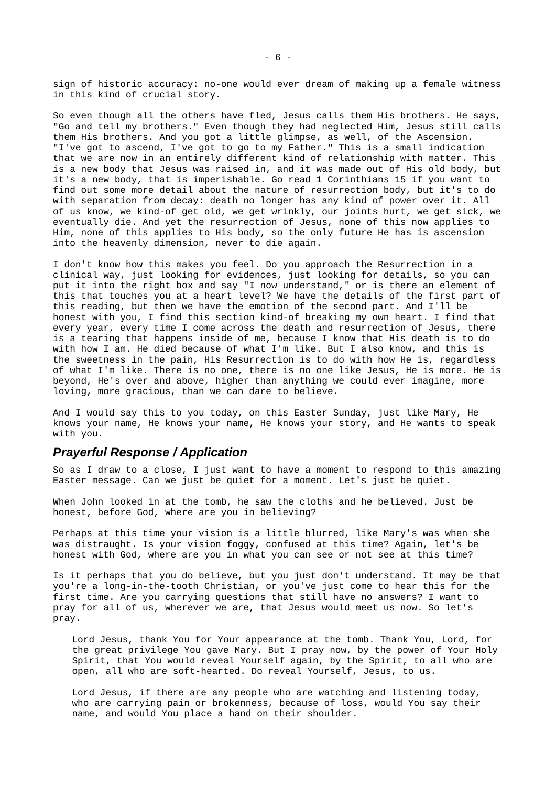sign of historic accuracy: no-one would ever dream of making up a female witness in this kind of crucial story.

So even though all the others have fled, Jesus calls them His brothers. He says, "Go and tell my brothers." Even though they had neglected Him, Jesus still calls them His brothers. And you got a little glimpse, as well, of the Ascension. "I've got to ascend, I've got to go to my Father." This is a small indication that we are now in an entirely different kind of relationship with matter. This is a new body that Jesus was raised in, and it was made out of His old body, but it's a new body, that is imperishable. Go read 1 Corinthians 15 if you want to find out some more detail about the nature of resurrection body, but it's to do with separation from decay: death no longer has any kind of power over it. All of us know, we kind-of get old, we get wrinkly, our joints hurt, we get sick, we eventually die. And yet the resurrection of Jesus, none of this now applies to Him, none of this applies to His body, so the only future He has is ascension into the heavenly dimension, never to die again.

I don't know how this makes you feel. Do you approach the Resurrection in a clinical way, just looking for evidences, just looking for details, so you can put it into the right box and say "I now understand," or is there an element of this that touches you at a heart level? We have the details of the first part of this reading, but then we have the emotion of the second part. And I'll be honest with you, I find this section kind-of breaking my own heart. I find that every year, every time I come across the death and resurrection of Jesus, there is a tearing that happens inside of me, because I know that His death is to do with how I am. He died because of what I'm like. But I also know, and this is the sweetness in the pain, His Resurrection is to do with how He is, regardless of what I'm like. There is no one, there is no one like Jesus, He is more. He is beyond, He's over and above, higher than anything we could ever imagine, more loving, more gracious, than we can dare to believe.

And I would say this to you today, on this Easter Sunday, just like Mary, He knows your name, He knows your name, He knows your story, and He wants to speak with you.

#### *Prayerful Response / Application*

So as I draw to a close, I just want to have a moment to respond to this amazing Easter message. Can we just be quiet for a moment. Let's just be quiet.

When John looked in at the tomb, he saw the cloths and he believed. Just be honest, before God, where are you in believing?

Perhaps at this time your vision is a little blurred, like Mary's was when she was distraught. Is your vision foggy, confused at this time? Again, let's be honest with God, where are you in what you can see or not see at this time?

Is it perhaps that you do believe, but you just don't understand. It may be that you're a long-in-the-tooth Christian, or you've just come to hear this for the first time. Are you carrying questions that still have no answers? I want to pray for all of us, wherever we are, that Jesus would meet us now. So let's pray.

Lord Jesus, thank You for Your appearance at the tomb. Thank You, Lord, for the great privilege You gave Mary. But I pray now, by the power of Your Holy Spirit, that You would reveal Yourself again, by the Spirit, to all who are open, all who are soft-hearted. Do reveal Yourself, Jesus, to us.

Lord Jesus, if there are any people who are watching and listening today, who are carrying pain or brokenness, because of loss, would You say their name, and would You place a hand on their shoulder.